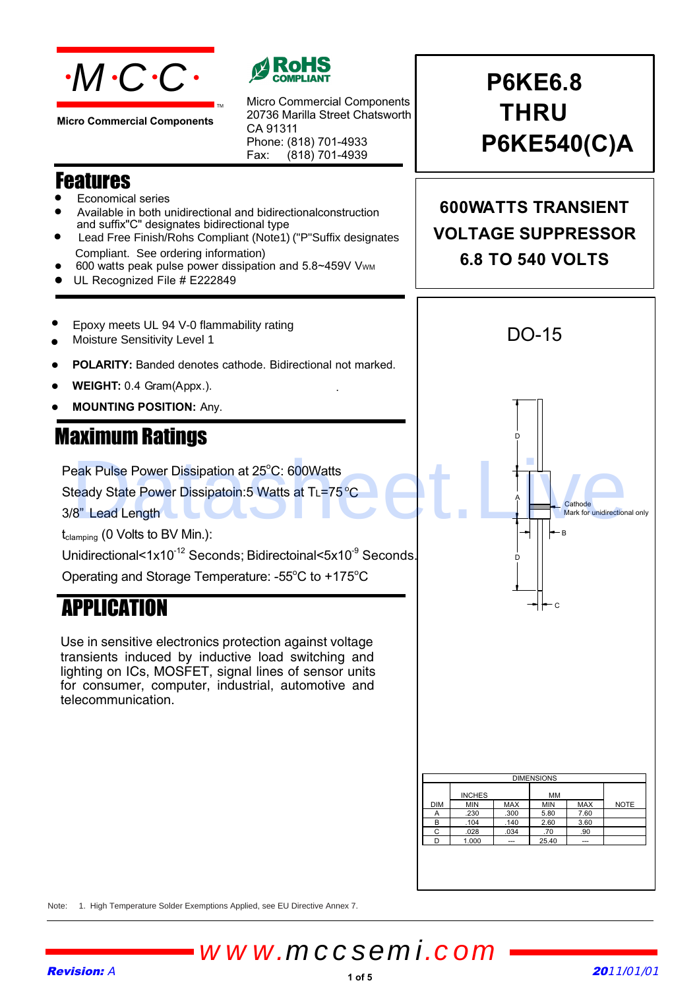

**Micro Commercial Components**

### Features

- Economical series
- Available in both unidirectional and bidirectionalconstruction and suffix"C" designates bidirectional type

TM

• Lead Free Finish/Rohs Compliant (Note1) ("P"Suffix designates Compliant. See ordering information)

Micro Commercial Components 20736 Marilla Street Chatsworth

(818) 701-4939

.

Phone: (818) 701-4933

CA 91311

Fax:

- 600 watts peak pulse power dissipation and 5.8~459V Vwm
- UL Recognized File # E222849
- $\bullet$ Epoxy meets UL 94 V-0 flammability rating
- Moisture Sensitivity Level 1
- **POLARITY:** Banded denotes cathode. Bidirectional not marked.
- **WEIGHT:** 0.4 Gram(Appx.).
- **MOUNTING POSITION:** Any.

### Maximum Ratings

Peak Pulse Power Dissipation at 25°C: 600Watts

Steady State Power Dissipatoin:5 Watts at T∟=75 °C

3/8" Lead Length

 $t_{\text{clamping}}$  (0 Volts to BV Min.):

Unidirectional<1x10<sup>-12</sup> Seconds; Bidirectoinal<5x10<sup>-9</sup> Seconds.

Operating and Storage Temperature: - $55^{\circ}$ C to +175 $^{\circ}$ C

### APPLICATION

Use in sensitive electronics protection against voltage transients induced by inductive load switching and lighting on ICs, MOSFET, signal lines of sensor units for consumer, computer, industrial, automotive and telecommunication.

**P6KE6.8 THRU P6KE540(C)A**

**600WATTS TRANSIENT VOLTAGE SUPPRESSOR 6.8 TO 540 VOLTS**



Note: 1. High Temperature Solder Exemptions Applied, see EU Directive Annex 7.

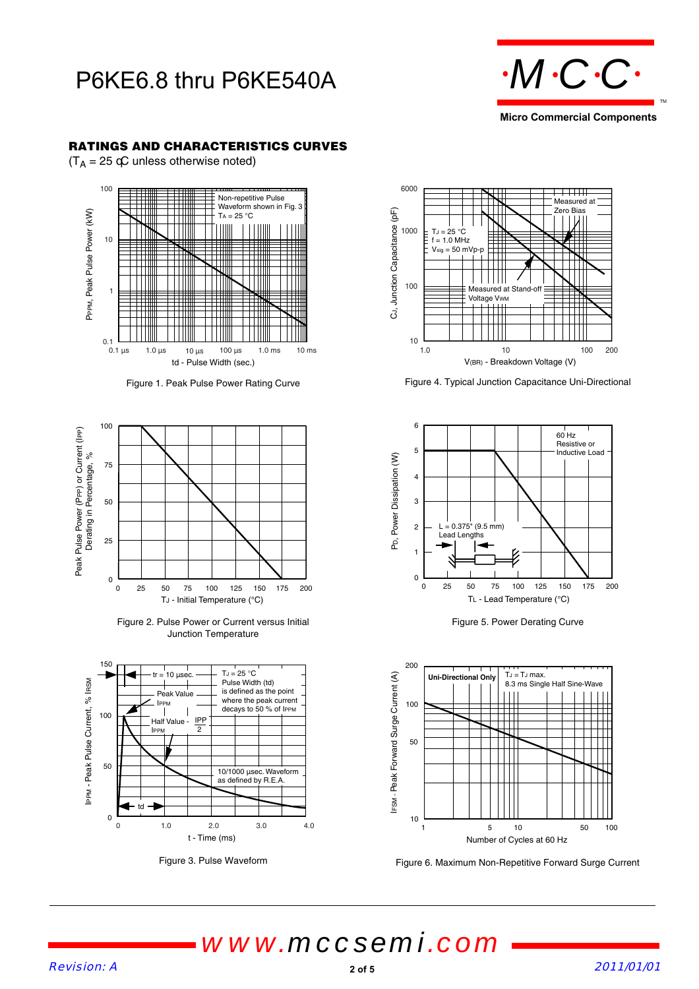## P6KE6.8 thru P6KE540A





#### **RATINGS AND CHARACTERISTICS CURVES**

 $(T_A = 25 \text{ }\textcircled{c}$  unless otherwise noted)





Figure 2. Pulse Power or Current versus Initial Junction Temperature



Figure 3. Pulse Waveform



Figure 4. Typical Junction Capacitance Uni-Directional



Figure 5. Power Derating Curve



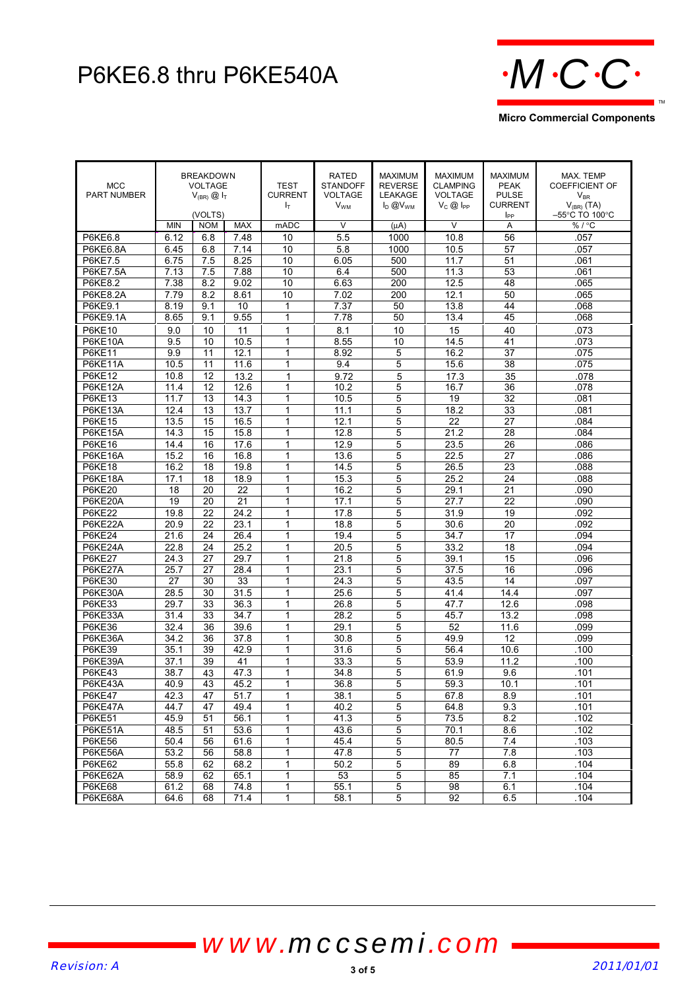# P6KE6.8 thru P6KE540A **MCCC**



MCC PART NUMBER **BREAKDOWN** VOLTAGE  $V_{(BR)}$   $\textcircled{1}_{T}$ (VOLTS) TEST CURRENT  $I_{\rm T}$ RATED STANDOFF VOLTAGE  $V_{WM}$ MAXIMUM REVERSE LEAKAGE  $I_D @V_{WM}$ **MAXIMUM** CLAMPING VOLTAGE  $V_C \otimes I_{PP}$ MAXIMUM PEAK PULSE CURRENT l<sub>pp</sub> MAX. TEMP COEFFICIENT OF  $\mathsf{V}_{\mathsf{BR}}$  $\mathsf{V}_{\mathsf{(BR)}}\left(\mathsf{T}\mathsf{A}\right)$ –55°C TO 100°C MIN | NOM | MAX | mADC | V | (µA) | V | A | % / °C P6KE6.8 | 6.12 | 6.8 | 7.48 | 10 | 5.5 | 1000 | 10.8 | 56 | .057 P6KE6.8A | 6.45 | 6.8 | 7.14 | 10 | 5.8 | 1000 | 10.5 | 57 | 0.57 P6KE7.5 | 6.75 | 7.5 | 8.25 | 10 | 6.05 | 500 | 11.7 | 51 | .061 P6KE7.5A | 7.13 | 7.5 | 7.88 | 10 | 6.4 | 500 | 11.3 | 53 | .061 P6KE8.2 | 7.38 | 8.2 | 9.02 | 10 | 6.63 | 200 | 12.5 | 48 | .065 P6KE8.2A | 7.79 | 8.2 | 8.61 | 10 | 7.02 | 200 | 12.1 | 50 | .065 P6KE9.1 | 8.19 | 9.1 | 10 | 1 | | 7.37 | 50 | 13.8 | 44 | 068 P6KE9.1A | 8.65 | 9.1 | 9.55 | 1 | 7.78 | 50 | 13.4 | 45 | .068 P6KE10 | 9.0 | 10 | 11 | 1 | 8.1 | 10 | 15 | 40 | 073 P6KE10A | 9.5 | 10 | 10.5 | 1 | 8.55 | 10 | 14.5 | 41 | 0.73 P6KE11 | 9.9 | 11 | 12.1 | 1 | 8.92 | 5 | 16.2 | 37 | 0.75 P6KE11A | 10.5 | 11 | 11.6 | 1 | 9.4 | 5 | 15.6 | 38 | 075 P6KE12 | 10.8 | 12 | 13.2 | 1 | 19.72 | 1 5 | 17.3 | 35 | 10.8 P6KE12A | 11.4 | 12 | 12.6 | 1 | 10.2 | 5 | 16.7 | 36 | .078 P6KE13 | 11.7 | 13 | 14.3 | 1 | 10.5 | 5 | 19 | 32 | 081 P6KE13A | 12.4 | 13 | 13.7 | 1 | 11.1 | 5 | 18.2 | 33 | .081 P6KE15 | 13.5 | 15 | 16.5 | 11 | 12.1 | 5 | 22 | 27 | 084 P6KE15A | 14.3 | 15 | 15.8 | 1 | 12.8 | 5 | 21.2 | 28 | .084 P6KE16 | 14.4 | 16 | 17.6 | 1 | 12.9 | 5 | 23.5 | 26 | 086 P6KE16A | 15.2 | 16 | 16.8 | 1 | 13.6 | 5 | 22.5 | 27 | 086 P6KE18 | 16.2 | 18 | 19.8 | 1 | 14.5 | 5 | 26.5 | 23 | 088 P6KE18A | 17.1 | 18 | 18.9 | 1 | 15.3 | 5 | 25.2 | 24 | 088 P6KE20 | 18 | 20 | 22 | 1 | 16.2 | 5 | 29.1 | 21 | 090 P6KE20A | 19 | 20 | 21 | 1 | 17.1 | 5 | 27.7 | 22 | 090 P6KE22 | 19.8 | 22 | 24.2 | 1 | 17.8 | 5 | 31.9 | 19 | .092 P6KE22A | 20.9 | 22 | 23.1 | 1 | 18.8 | 5 | 30.6 | 20 | 092 P6KE24 | 21.6 | 24 | 26.4 | 1 | 19.4 | 5 | 34.7 | 17 | 094 P6KE24A | 22.8 | 24 | 25.2 | 1 | 20.5 | 5 | 33.2 | 18 | .094 P6KE27 | 24.3 | 27 | 29.7 | 1 | 21.8 | 5 | 39.1 | 15 | .096 P6KE27A | 25.7 | 27 | 28.4 | 1 | 23.1 | 5 | 37.5 | 16 | 096 P6KE30 | 27 | 30 | 33 | 1 | 24.3 | 5 | 43.5 | 14 | 097 P6KE30A | 28.5 | 30 | 31.5 | 1 | 25.6 | 5 | 41.4 | 14.4 | 097 P6KE33 | 29.7 | 33 | 36.3 | 1 | 26.8 | 5 | 47.7 | 12.6 | 098 P6KE33A | 31.4 | 33 | 34.7 | 1 | 28.2 | 5 | 45.7 | 13.2 | 098 P6KE36 | 32.4 | 36 | 39.6 | 1 | 29.1 | 5 | 52 | 11.6 | 099 P6KE36A | 34.2 | 36 | 37.8 | 1 | 30.8 | 5 | 49.9 | 12 | .099 P6KE39 | 35.1 | 39 | 42.9 | 1 | 31.6 | 5 | 56.4 | 10.6 | 31.00 P6KE39A | 37.1 | 39 | 41 | 1 | 33.3 | 5 | 53.9 | 11.2 | .100 P6KE43 | 38.7 | 43 | 47.3 | 1 | 34.8 | 5 | 61.9 | 9.6 | 101 P6KE43A | 40.9 | 43 | 45.2 | 1 | 36.8 | 5 | 59.3 | 10.1 | .101 P6KE47 | 42.3 | 47 | 51.7 | 1 | 38.1 | 5 | 67.8 | 8.9 | .101 P6KE47A | 44.7 | 47 | 49.4 | 1 | 40.2 | 5 | 64.8 | 9.3 | .101 P6KE51 | 45.9 | 51 | 56.1 | 1 | 41.3 | 5 | 73.5 | 8.2 | .102 P6KE51A | 48.5 | 51 | 53.6 | 1 | 43.6 | 5 | 70.1 | 8.6 | 102 P6KE56 | 50.4 | 56 | 61.6 | 1 | 45.4 | 5 | 80.5 | 7.4 | 103 P6KE56A 53.2 56 58.8 1 47.8 5 77 7.8 .103 P6KE62 | 55.8 | 62 | 68.2 | 1 | 50.2 | 5 | 89 | 6.8 | 104 P6KE62A | 58.9 | 62 | 65.1 | 1 | 53 | 5 | 85 | 7.1 | 104 P6KE68 | 61.2 | 68 | 74.8 | 1 | 55.1 | 5 | 98 | 6.1 | 104 P6KE68A | 64.6 | 68 | 71.4 | 1 | 58.1 | 5 | 92 | 6.5 | 104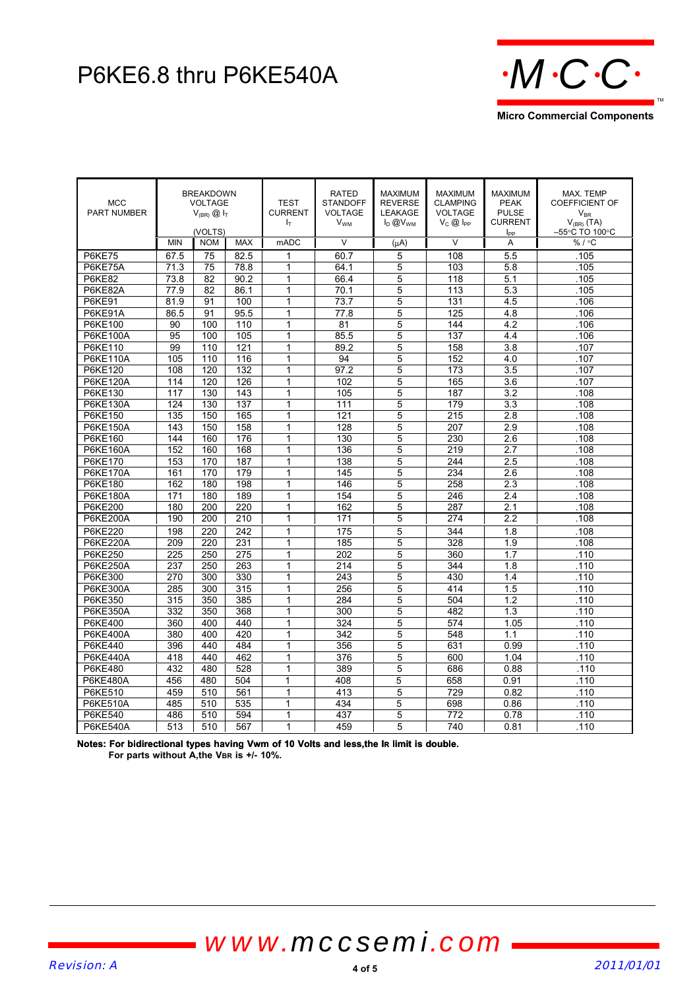## P6KE6.8 thru P6KE540A



| <b>MCC</b><br><b>PART NUMBER</b> | <b>BREAKDOWN</b><br><b>VOLTAGE</b><br>$V_{(BR)}$ $\omega$ $I_T$<br>(VOLTS) |            |            | <b>TEST</b><br><b>CURRENT</b><br>ŀт | <b>RATED</b><br><b>STANDOFF</b><br><b>VOLTAGE</b><br><b>V<sub>WM</sub></b> | <b>MAXIMUM</b><br><b>REVERSE</b><br>LEAKAGE<br>$I_D @V_{WM}$ | <b>MAXIMUM</b><br><b>CLAMPING</b><br><b>VOLTAGE</b><br>$V_C @$ I <sub>PP</sub> | <b>MAXIMUM</b><br><b>PEAK</b><br><b>PULSE</b><br><b>CURRENT</b><br>$I_{PP}$ | MAX. TEMP<br><b>COEFFICIENT OF</b><br>$V_{\rm BR}$<br>$V_{(BR)}$ (TA)<br>–55°C TO 100°C |
|----------------------------------|----------------------------------------------------------------------------|------------|------------|-------------------------------------|----------------------------------------------------------------------------|--------------------------------------------------------------|--------------------------------------------------------------------------------|-----------------------------------------------------------------------------|-----------------------------------------------------------------------------------------|
|                                  | <b>MIN</b>                                                                 | <b>NOM</b> | <b>MAX</b> | mADC                                | $\vee$                                                                     | (uA)                                                         | $\vee$                                                                         | A                                                                           | %/°C                                                                                    |
| <b>P6KE75</b>                    | 67.5                                                                       | 75         | 82.5       | 1                                   | 60.7                                                                       | 5                                                            | 108                                                                            | 5.5                                                                         | .105                                                                                    |
| P6KE75A                          | 71.3                                                                       | 75         | 78.8       | 1                                   | 64.1                                                                       | 5                                                            | 103                                                                            | 5.8                                                                         | .105                                                                                    |
| <b>P6KE82</b>                    | 73.8                                                                       | 82         | 90.2       | 1                                   | 66.4                                                                       | 5                                                            | 118                                                                            | 5.1                                                                         | .105                                                                                    |
| P6KE82A                          | 77.9                                                                       | 82         | 86.1       | 1                                   | 70.1                                                                       | 5                                                            | 113                                                                            | 5.3                                                                         | .105                                                                                    |
| <b>P6KE91</b>                    | 81.9                                                                       | 91         | 100        | $\overline{1}$                      | 73.7                                                                       | $\overline{5}$                                               | 131                                                                            | 4.5                                                                         | .106                                                                                    |
| P6KE91A                          | 86.5                                                                       | 91         | 95.5       | 1                                   | 77.8                                                                       | 5                                                            | 125                                                                            | 4.8                                                                         | .106                                                                                    |
| P6KE100                          | 90                                                                         | 100        | 110        | 1                                   | 81                                                                         | 5                                                            | 144                                                                            | 4.2                                                                         | .106                                                                                    |
| P6KE100A                         | 95                                                                         | 100        | 105        | 1                                   | 85.5                                                                       | 5                                                            | 137                                                                            | 4.4                                                                         | .106                                                                                    |
| P6KE110                          | 99                                                                         | 110        | 121        | 1                                   | 89.2                                                                       | 5                                                            | 158                                                                            | 3.8                                                                         | .107                                                                                    |
| <b>P6KE110A</b>                  | 105                                                                        | 110        | 116        | 1                                   | 94                                                                         | 5                                                            | 152                                                                            | 4.0                                                                         | .107                                                                                    |
| P6KE120                          | 108                                                                        | 120        | 132        | 1                                   | 97.2                                                                       | 5                                                            | 173                                                                            | 3.5                                                                         | .107                                                                                    |
| <b>P6KE120A</b>                  | 114                                                                        | 120        | 126        | 1                                   | 102                                                                        | 5                                                            | 165                                                                            | 3.6                                                                         | .107                                                                                    |
| P6KE130                          | 117                                                                        | 130        | 143        | 1                                   | 105                                                                        | $\overline{5}$                                               | 187                                                                            | 3.2                                                                         | .108                                                                                    |
| <b>P6KE130A</b>                  | 124                                                                        | 130        | 137        | 1                                   | 111                                                                        | 5                                                            | 179                                                                            | 3.3                                                                         | .108                                                                                    |
| P6KE150                          | 135                                                                        | 150        | 165        | 1                                   | 121                                                                        | 5                                                            | 215                                                                            | 2.8                                                                         | .108                                                                                    |
| <b>P6KE150A</b>                  | 143                                                                        | 150        | 158        | 1                                   | 128                                                                        | 5                                                            | 207                                                                            | 2.9                                                                         | .108                                                                                    |
| P6KE160                          | 144                                                                        | 160        | 176        | 1                                   | 130                                                                        | 5                                                            | 230                                                                            | 2.6                                                                         | .108                                                                                    |
| <b>P6KE160A</b>                  | 152                                                                        | 160        | 168        | 1                                   | 136                                                                        | 5                                                            | 219                                                                            | 2.7                                                                         | .108                                                                                    |
| P6KE170                          | 153                                                                        | 170        | 187        | 1                                   | 138                                                                        | 5                                                            | 244                                                                            | 2.5                                                                         | .108                                                                                    |
| <b>P6KE170A</b>                  | 161                                                                        | 170        | 179        | 1                                   | 145                                                                        | 5                                                            | 234                                                                            | 2.6                                                                         | .108                                                                                    |
| P6KE180                          | 162                                                                        | 180        | 198        | 1                                   | 146                                                                        | 5                                                            | 258                                                                            | 2.3                                                                         | .108                                                                                    |
| <b>P6KE180A</b>                  | 171                                                                        | 180        | 189        | 1                                   | 154                                                                        | 5                                                            | 246                                                                            | 2.4                                                                         | .108                                                                                    |
| P6KE200                          | 180                                                                        | 200        | 220        | 1                                   | 162                                                                        | 5                                                            | 287                                                                            | 2.1                                                                         | 108                                                                                     |
| <b>P6KE200A</b>                  | 190                                                                        | 200        | 210        | 1                                   | 171                                                                        | 5                                                            | 274                                                                            | 2.2                                                                         | .108                                                                                    |
| P6KE220                          | 198                                                                        | 220        | 242        | $\mathbf{1}$                        | 175                                                                        | 5                                                            | 344                                                                            | 1.8                                                                         | .108                                                                                    |
| <b>P6KE220A</b>                  | 209                                                                        | 220        | 231        | 1                                   | 185                                                                        | 5                                                            | 328                                                                            | 1.9                                                                         | .108                                                                                    |
| <b>P6KE250</b>                   | 225                                                                        | 250        | 275        | 1                                   | 202                                                                        | 5                                                            | 360                                                                            | 1.7                                                                         | .110                                                                                    |
| <b>P6KE250A</b>                  | 237                                                                        | 250        | 263        | 1                                   | 214                                                                        | 5                                                            | 344                                                                            | 1.8                                                                         | .110                                                                                    |
| P6KE300                          | 270                                                                        | 300        | 330        | 1                                   | 243                                                                        | 5                                                            | 430                                                                            | 1.4                                                                         | .110                                                                                    |
| <b>P6KE300A</b>                  | 285                                                                        | 300        | 315        | 1                                   | 256                                                                        | 5                                                            | 414                                                                            | 1.5                                                                         | .110                                                                                    |
| P6KE350                          | 315                                                                        | 350        | 385        | 1                                   | 284                                                                        | 5                                                            | 504                                                                            | 1.2                                                                         | .110                                                                                    |
| <b>P6KE350A</b>                  | 332                                                                        | 350        | 368        | 1                                   | 300                                                                        | 5                                                            | 482                                                                            | 1.3                                                                         | .110                                                                                    |
| P6KE400                          | 360                                                                        | 400        | 440        | $\mathbf{1}$                        | 324                                                                        | 5                                                            | 574                                                                            | 1.05                                                                        | .110                                                                                    |
| <b>P6KE400A</b>                  | 380                                                                        | 400        | 420        | 1                                   | 342                                                                        | 5                                                            | 548                                                                            | 1.1                                                                         | .110                                                                                    |
| P6KE440                          | 396                                                                        | 440        | 484        | 1                                   | 356                                                                        | 5                                                            | 631                                                                            | 0.99                                                                        | .110                                                                                    |
| <b>P6KE440A</b>                  | 418                                                                        | 440        | 462        | $\overline{1}$                      | 376                                                                        | $\overline{5}$                                               | 600                                                                            | 1.04                                                                        | .110                                                                                    |
| P6KE480                          | 432                                                                        | 480        | 528        | 1                                   | 389                                                                        | 5                                                            | 686                                                                            | 0.88                                                                        | .110                                                                                    |
| <b>P6KE480A</b>                  | 456                                                                        | 480        | 504        | 1                                   | 408                                                                        | 5                                                            | 658                                                                            | 0.91                                                                        | .110                                                                                    |
| P6KE510                          | 459                                                                        | 510        | 561        | $\mathbf{1}$                        | 413                                                                        | 5                                                            | 729                                                                            | 0.82                                                                        | .110                                                                                    |
| <b>P6KE510A</b>                  | 485                                                                        | 510        | 535        | $\mathbf{1}$                        | 434                                                                        | 5                                                            | 698                                                                            | 0.86                                                                        | .110                                                                                    |
| <b>P6KE540</b>                   | 486                                                                        | 510        | 594        | 1                                   | 437                                                                        | 5                                                            | 772                                                                            | 0.78                                                                        | .110                                                                                    |
| <b>P6KE540A</b>                  | 513                                                                        | 510        | 567        | 1                                   | 459                                                                        | 5                                                            | 740                                                                            | 0.81                                                                        | .110                                                                                    |

**Notes: For bidirectional types having Vwm of 10 Volts and less,the IR limit is double.** For parts without A, the VBR is +/- 10%.